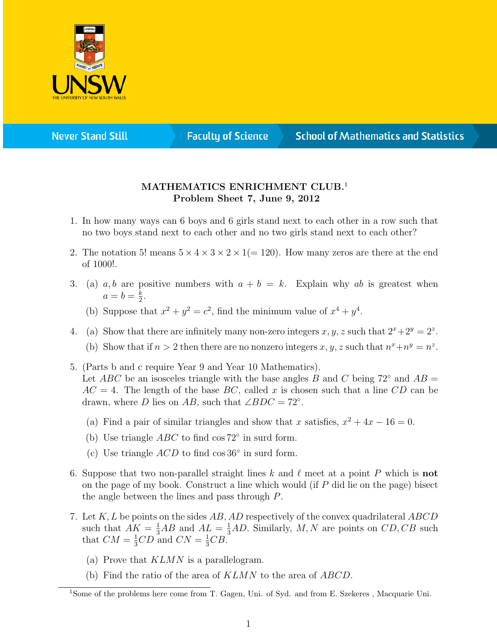

**Never Stand Still** 

**Faculty of Science** 

## **School of Mathematics and Statistics**

## MATHEMATICS ENRICHMENT CLUB.<sup>1</sup> Problem Sheet 7, June 9, 2012

- 1. In how many ways can 6 boys and 6 girls stand next to each other in a row such that no two boys stand next to each other and no two girls stand next to each other?
- 2. The notation 5! means  $5 \times 4 \times 3 \times 2 \times 1(=120)$ . How many zeros are there at the end of 1000!.
- 3. (a) a, b are positive numbers with  $a + b = k$ . Explain why ab is greatest when  $a=b=\frac{k}{2}$  $\frac{k}{2}$ .
	- (b) Suppose that  $x^2 + y^2 = c^2$ , find the minimum value of  $x^4 + y^4$ .
- 4. (a) Show that there are infinitely many non-zero integers  $x, y, z$  such that  $2^x + 2^y = 2^z$ . (b) Show that if  $n > 2$  then there are no nonzero integers x, y, z such that  $n^x + n^y = n^z$ .
- 5. (Parts b and c require Year 9 and Year 10 Mathematics). Let ABC be an isosceles triangle with the base angles B and C being  $72°$  and  $AB =$  $AC = 4$ . The length of the base  $BC$ , called x is chosen such that a line CD can be drawn, where D lies on AB, such that  $\angle BDC = 72^\circ$ .
	- (a) Find a pair of similar triangles and show that x satisfies,  $x^2 + 4x 16 = 0$ .
	- (b) Use triangle  $ABC$  to find cos  $72^{\circ}$  in surd form.
	- (c) Use triangle  $ACD$  to find cos 36 $\circ$  in surd form.
- 6. Suppose that two non-parallel straight lines k and  $\ell$  meet at a point P which is not on the page of my book. Construct a line which would (if P did lie on the page) bisect the angle between the lines and pass through P.
- 7. Let  $K, L$  be points on the sides  $AB, AD$  respectively of the convex quadrilateral  $ABCD$ such that  $AK = \frac{1}{3}AB$  and  $AL = \frac{1}{3}AD$ . Similarly, M, N are points on  $CD, CB$  such that  $CM = \frac{1}{3}CD$  and  $CN = \frac{1}{3}CB$ .
	- (a) Prove that KLMN is a parallelogram.
	- (b) Find the ratio of the area of KLMN to the area of ABCD.

<sup>1</sup>Some of the problems here come from T. Gagen, Uni. of Syd. and from E. Szekeres , Macquarie Uni.